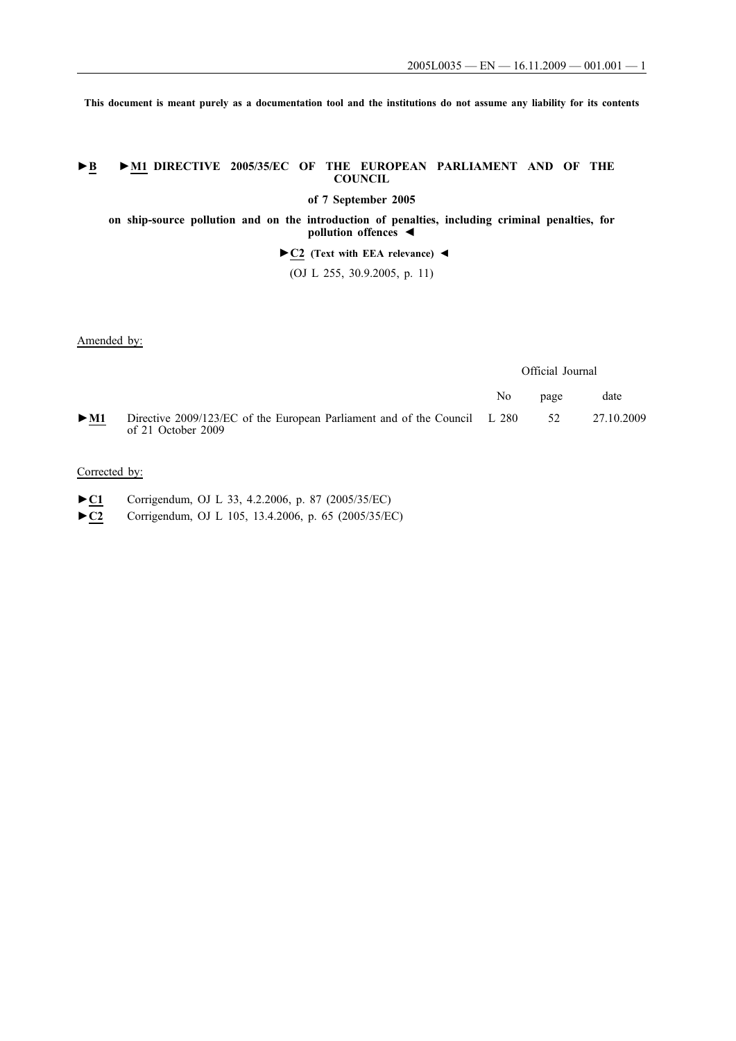**This document is meant purely as a documentation tool and the institutions do not assume any liability for its contents**

## **►B ►M1 DIRECTIVE 2005/35/EC OF THE EUROPEAN PARLIAMENT AND OF THE COUNCIL**

**of 7 September 2005**

**on ship-source pollution and on the introduction of penalties, including criminal penalties, for pollution offences ◄**

**►C2 (Text with EEA relevance) ◄**

(OJ L 255, 30.9.2005, p. 11)

Amended by:

Official Journal

|        |                                                                                                 | No. | page | date       |
|--------|-------------------------------------------------------------------------------------------------|-----|------|------------|
| $>$ M1 | Directive 2009/123/EC of the European Parliament and of the Council L 280<br>of 21 October 2009 |     | 52   | 27.10.2009 |

Corrected by:

- ►**C1** Corrigendum, OJ L 33, 4.2.2006, p. 87 (2005/35/EC)
- ►**C2** Corrigendum, OJ L 105, 13.4.2006, p. 65 (2005/35/EC)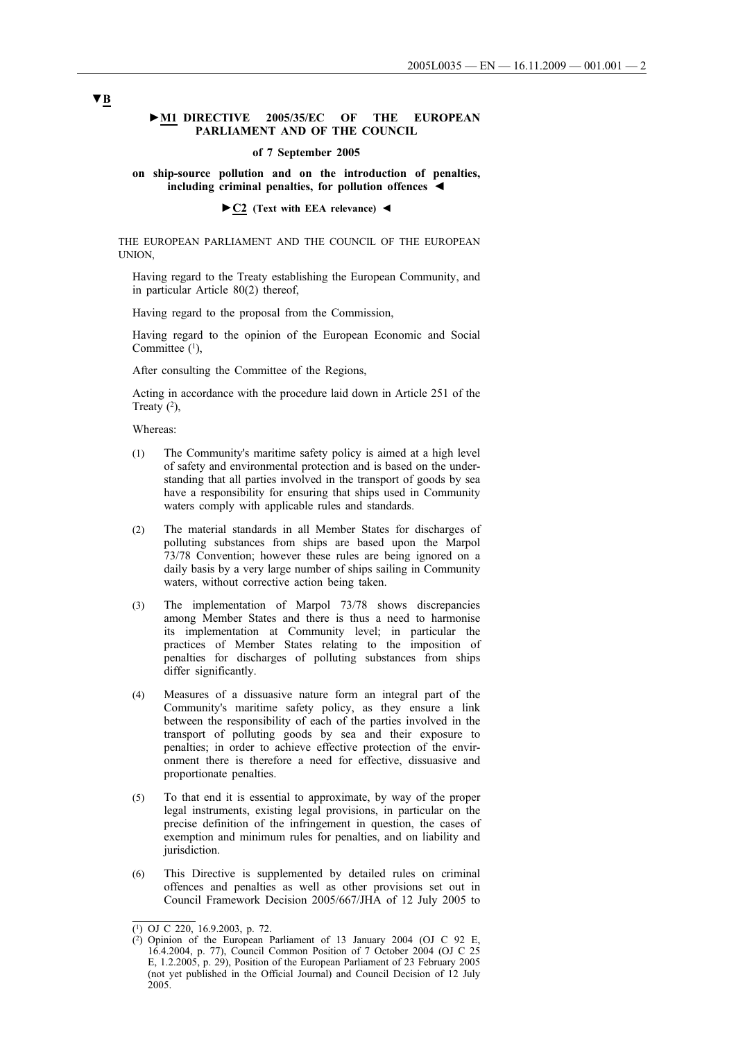### **►M1 DIRECTIVE 2005/35/EC OF THE EUROPEAN PARLIAMENT AND OF THE COUNCIL**

#### **of 7 September 2005**

### **on ship-source pollution and on the introduction of penalties, including criminal penalties, for pollution offences ◄**

### **►C2 (Text with EEA relevance) ◄**

THE EUROPEAN PARLIAMENT AND THE COUNCIL OF THE EUROPEAN UNION,

Having regard to the Treaty establishing the European Community, and in particular Article 80(2) thereof,

Having regard to the proposal from the Commission,

Having regard to the opinion of the European Economic and Social Committee  $(1)$ ,

After consulting the Committee of the Regions,

Acting in accordance with the procedure laid down in Article 251 of the Treaty  $(2)$ ,

Whereas:

- (1) The Community's maritime safety policy is aimed at a high level of safety and environmental protection and is based on the understanding that all parties involved in the transport of goods by sea have a responsibility for ensuring that ships used in Community waters comply with applicable rules and standards.
- (2) The material standards in all Member States for discharges of polluting substances from ships are based upon the Marpol 73/78 Convention; however these rules are being ignored on a daily basis by a very large number of ships sailing in Community waters, without corrective action being taken.
- (3) The implementation of Marpol 73/78 shows discrepancies among Member States and there is thus a need to harmonise its implementation at Community level; in particular the practices of Member States relating to the imposition of penalties for discharges of polluting substances from ships differ significantly.
- (4) Measures of a dissuasive nature form an integral part of the Community's maritime safety policy, as they ensure a link between the responsibility of each of the parties involved in the transport of polluting goods by sea and their exposure to penalties; in order to achieve effective protection of the environment there is therefore a need for effective, dissuasive and proportionate penalties.
- (5) To that end it is essential to approximate, by way of the proper legal instruments, existing legal provisions, in particular on the precise definition of the infringement in question, the cases of exemption and minimum rules for penalties, and on liability and jurisdiction.
- (6) This Directive is supplemented by detailed rules on criminal offences and penalties as well as other provisions set out in Council Framework Decision 2005/667/JHA of 12 July 2005 to

<sup>(1)</sup> OJ C 220, 16.9.2003, p. 72.

 $(2)$  Opinion of the European Parliament of 13 January 2004 (OJ C 92 E, 16.4.2004, p. 77), Council Common Position of 7 October 2004 (OJ C 25 E,  $1.2.2005$ , p.  $29$ ), Position of the European Parliament of 23 February 2005 (not yet published in the Official Journal) and Council Decision of 12 July 2005.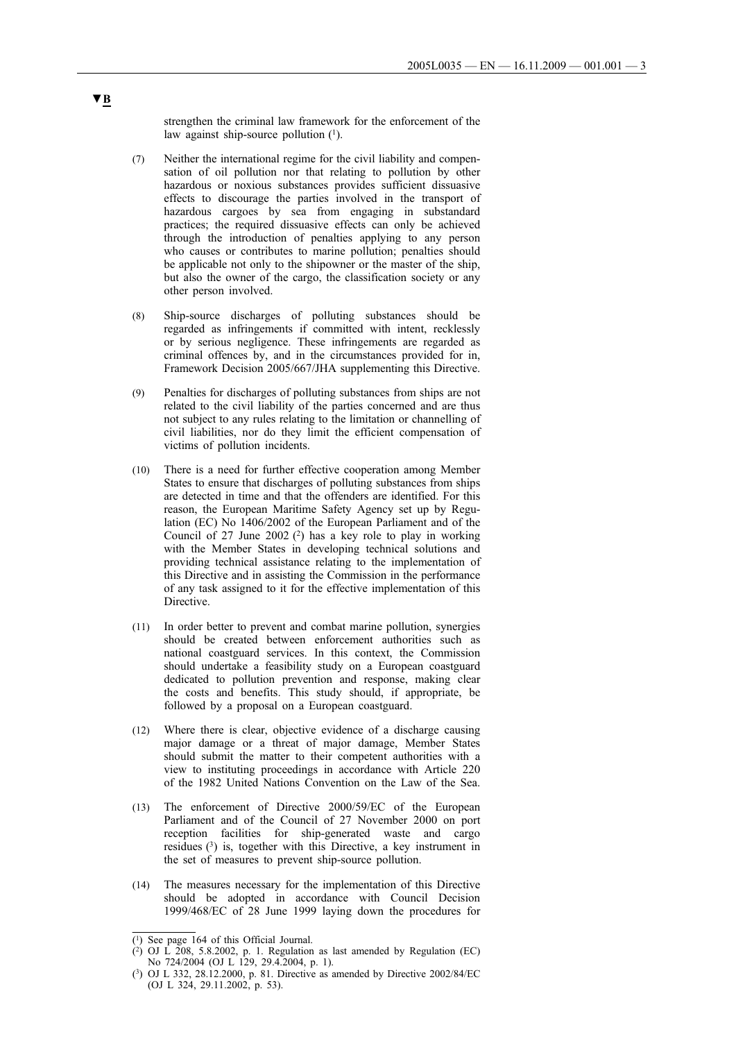strengthen the criminal law framework for the enforcement of the law against ship-source pollution  $(1)$ .

- (7) Neither the international regime for the civil liability and compensation of oil pollution nor that relating to pollution by other hazardous or noxious substances provides sufficient dissuasive effects to discourage the parties involved in the transport of hazardous cargoes by sea from engaging in substandard practices; the required dissuasive effects can only be achieved through the introduction of penalties applying to any person who causes or contributes to marine pollution; penalties should be applicable not only to the shipowner or the master of the ship, but also the owner of the cargo, the classification society or any other person involved.
- (8) Ship-source discharges of polluting substances should be regarded as infringements if committed with intent, recklessly or by serious negligence. These infringements are regarded as criminal offences by, and in the circumstances provided for in, Framework Decision 2005/667/JHA supplementing this Directive.
- (9) Penalties for discharges of polluting substances from ships are not related to the civil liability of the parties concerned and are thus not subject to any rules relating to the limitation or channelling of civil liabilities, nor do they limit the efficient compensation of victims of pollution incidents.
- (10) There is a need for further effective cooperation among Member States to ensure that discharges of polluting substances from ships are detected in time and that the offenders are identified. For this reason, the European Maritime Safety Agency set up by Regulation (EC) No 1406/2002 of the European Parliament and of the Council of 27 June 2002  $(2)$  has a key role to play in working with the Member States in developing technical solutions and providing technical assistance relating to the implementation of this Directive and in assisting the Commission in the performance of any task assigned to it for the effective implementation of this Directive.
- (11) In order better to prevent and combat marine pollution, synergies should be created between enforcement authorities such as national coastguard services. In this context, the Commission should undertake a feasibility study on a European coastguard dedicated to pollution prevention and response, making clear the costs and benefits. This study should, if appropriate, be followed by a proposal on a European coastguard.
- (12) Where there is clear, objective evidence of a discharge causing major damage or a threat of major damage, Member States should submit the matter to their competent authorities with a view to instituting proceedings in accordance with Article 220 of the 1982 United Nations Convention on the Law of the Sea.
- (13) The enforcement of Directive 2000/59/EC of the European Parliament and of the Council of 27 November 2000 on port reception facilities for ship-generated waste and cargo residues (3) is, together with this Directive, a key instrument in the set of measures to prevent ship-source pollution.
- (14) The measures necessary for the implementation of this Directive should be adopted in accordance with Council Decision 1999/468/EC of 28 June 1999 laying down the procedures for

<sup>(1)</sup> See page 164 of this Official Journal.

<sup>(2)</sup> OJ L 208, 5.8.2002, p. 1. Regulation as last amended by Regulation (EC) No 724/2004 (OJ L 129, 29.4.2004, p. 1).

<sup>(3)</sup> OJ L 332, 28.12.2000, p. 81. Directive as amended by Directive 2002/84/EC (OJ L 324, 29.11.2002, p. 53).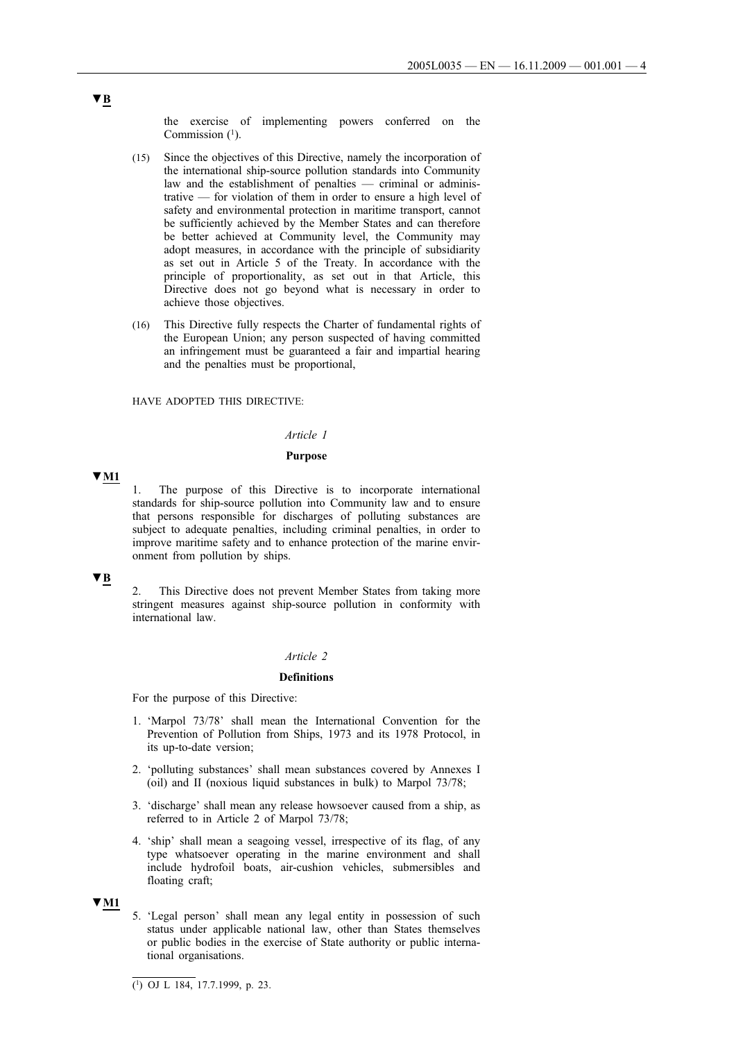the exercise of implementing powers conferred on the Commission  $(1)$ .

- (15) Since the objectives of this Directive, namely the incorporation of the international ship-source pollution standards into Community law and the establishment of penalties — criminal or administrative — for violation of them in order to ensure a high level of safety and environmental protection in maritime transport, cannot be sufficiently achieved by the Member States and can therefore be better achieved at Community level, the Community may adopt measures, in accordance with the principle of subsidiarity as set out in Article 5 of the Treaty. In accordance with the principle of proportionality, as set out in that Article, this Directive does not go beyond what is necessary in order to achieve those objectives.
- (16) This Directive fully respects the Charter of fundamental rights of the European Union; any person suspected of having committed an infringement must be guaranteed a fair and impartial hearing and the penalties must be proportional,

HAVE ADOPTED THIS DIRECTIVE:

### *Article 1*

### **Purpose**

### **▼M1**

1. The purpose of this Directive is to incorporate international standards for ship-source pollution into Community law and to ensure that persons responsible for discharges of polluting substances are subject to adequate penalties, including criminal penalties, in order to improve maritime safety and to enhance protection of the marine environment from pollution by ships.

### **▼B**

2. This Directive does not prevent Member States from taking more stringent measures against ship-source pollution in conformity with international law.

### *Article 2*

### **Definitions**

For the purpose of this Directive:

- 1. 'Marpol 73/78' shall mean the International Convention for the Prevention of Pollution from Ships, 1973 and its 1978 Protocol, in its up-to-date version;
- 2. 'polluting substances' shall mean substances covered by Annexes I (oil) and II (noxious liquid substances in bulk) to Marpol 73/78;
- 3. 'discharge' shall mean any release howsoever caused from a ship, as referred to in Article 2 of Marpol 73/78;
- 4. 'ship' shall mean a seagoing vessel, irrespective of its flag, of any type whatsoever operating in the marine environment and shall include hydrofoil boats, air-cushion vehicles, submersibles and floating craft;

### **▼M1**

5. 'Legal person' shall mean any legal entity in possession of such status under applicable national law, other than States themselves or public bodies in the exercise of State authority or public international organisations.

# $\overline{(^1)}$  OJ L 184, 17.7.1999, p. 23.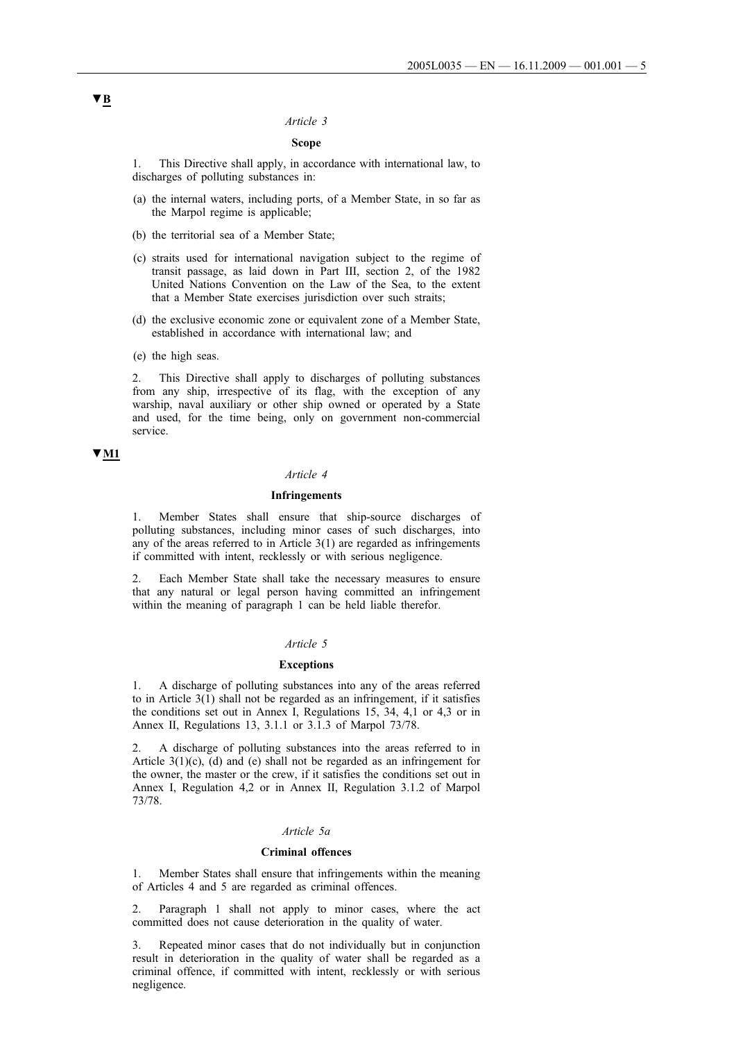## **Scope**

1. This Directive shall apply, in accordance with international law, to discharges of polluting substances in:

- (a) the internal waters, including ports, of a Member State, in so far as the Marpol regime is applicable;
- (b) the territorial sea of a Member State;
- (c) straits used for international navigation subject to the regime of transit passage, as laid down in Part III, section 2, of the 1982 United Nations Convention on the Law of the Sea, to the extent that a Member State exercises jurisdiction over such straits;
- (d) the exclusive economic zone or equivalent zone of a Member State, established in accordance with international law; and
- (e) the high seas.

2. This Directive shall apply to discharges of polluting substances from any ship, irrespective of its flag, with the exception of any warship, naval auxiliary or other ship owned or operated by a State and used, for the time being, only on government non-commercial service.

# **▼M1**

#### *Article 4*

### **Infringements**

Member States shall ensure that ship-source discharges of polluting substances, including minor cases of such discharges, into any of the areas referred to in Article 3(1) are regarded as infringements if committed with intent, recklessly or with serious negligence.

Each Member State shall take the necessary measures to ensure that any natural or legal person having committed an infringement within the meaning of paragraph 1 can be held liable therefor.

### *Article 5*

### **Exceptions**

1. A discharge of polluting substances into any of the areas referred to in Article 3(1) shall not be regarded as an infringement, if it satisfies the conditions set out in Annex I, Regulations 15, 34, 4,1 or 4,3 or in Annex II, Regulations 13, 3.1.1 or 3.1.3 of Marpol 73/78.

2. A discharge of polluting substances into the areas referred to in Article 3(1)(c), (d) and (e) shall not be regarded as an infringement for the owner, the master or the crew, if it satisfies the conditions set out in Annex I, Regulation 4,2 or in Annex II, Regulation 3.1.2 of Marpol 73/78.

## *Article 5a*

### **Criminal offences**

1. Member States shall ensure that infringements within the meaning of Articles 4 and 5 are regarded as criminal offences.

2. Paragraph 1 shall not apply to minor cases, where the act committed does not cause deterioration in the quality of water.

3. Repeated minor cases that do not individually but in conjunction result in deterioration in the quality of water shall be regarded as a criminal offence, if committed with intent, recklessly or with serious negligence.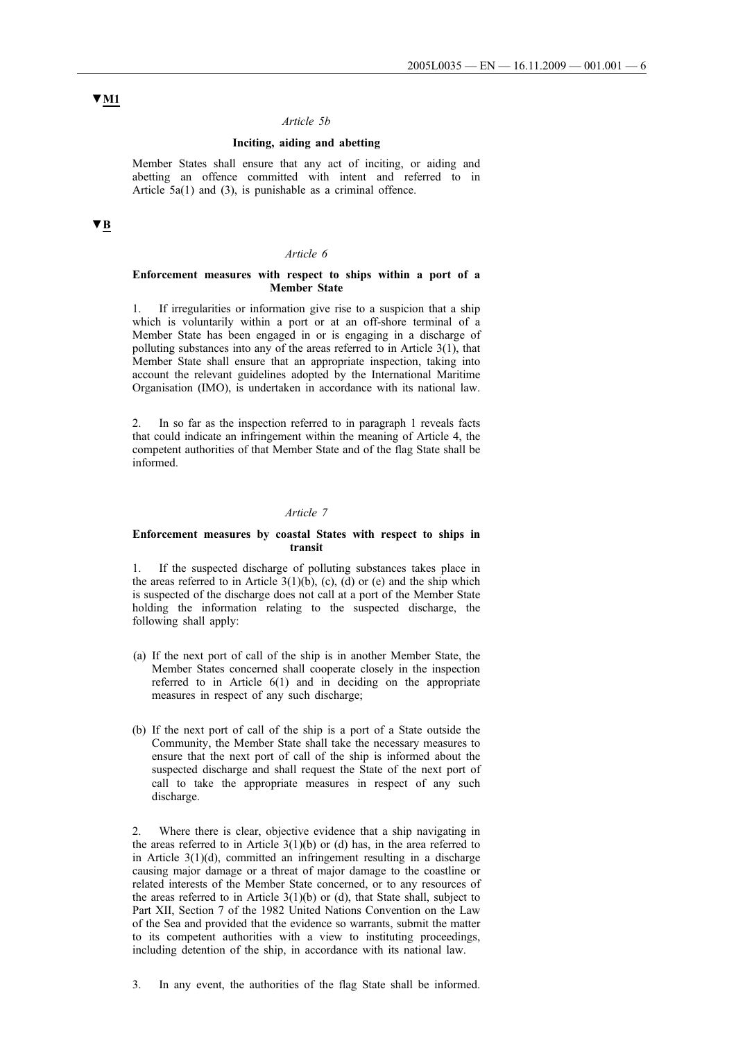### *Article 5b*

## **Inciting, aiding and abetting**

Member States shall ensure that any act of inciting, or aiding and abetting an offence committed with intent and referred to in Article 5a(1) and (3), is punishable as a criminal offence.

# **▼B**

#### *Article 6*

### **Enforcement measures with respect to ships within a port of a Member State**

1. If irregularities or information give rise to a suspicion that a ship which is voluntarily within a port or at an off-shore terminal of a Member State has been engaged in or is engaging in a discharge of polluting substances into any of the areas referred to in Article 3(1), that Member State shall ensure that an appropriate inspection, taking into account the relevant guidelines adopted by the International Maritime Organisation (IMO), is undertaken in accordance with its national law.

2. In so far as the inspection referred to in paragraph 1 reveals facts that could indicate an infringement within the meaning of Article 4, the competent authorities of that Member State and of the flag State shall be informed.

#### *Article 7*

### **Enforcement measures by coastal States with respect to ships in transit**

1. If the suspected discharge of polluting substances takes place in the areas referred to in Article  $3(1)(b)$ , (c), (d) or (e) and the ship which is suspected of the discharge does not call at a port of the Member State holding the information relating to the suspected discharge, the following shall apply:

- (a) If the next port of call of the ship is in another Member State, the Member States concerned shall cooperate closely in the inspection referred to in Article 6(1) and in deciding on the appropriate measures in respect of any such discharge;
- (b) If the next port of call of the ship is a port of a State outside the Community, the Member State shall take the necessary measures to ensure that the next port of call of the ship is informed about the suspected discharge and shall request the State of the next port of call to take the appropriate measures in respect of any such discharge.

2. Where there is clear, objective evidence that a ship navigating in the areas referred to in Article  $3(1)(b)$  or (d) has, in the area referred to in Article  $3(1)(d)$ , committed an infringement resulting in a discharge causing major damage or a threat of major damage to the coastline or related interests of the Member State concerned, or to any resources of the areas referred to in Article  $3(1)(b)$  or (d), that State shall, subject to Part XII, Section 7 of the 1982 United Nations Convention on the Law of the Sea and provided that the evidence so warrants, submit the matter to its competent authorities with a view to instituting proceedings, including detention of the ship, in accordance with its national law.

3. In any event, the authorities of the flag State shall be informed.

# **▼M1**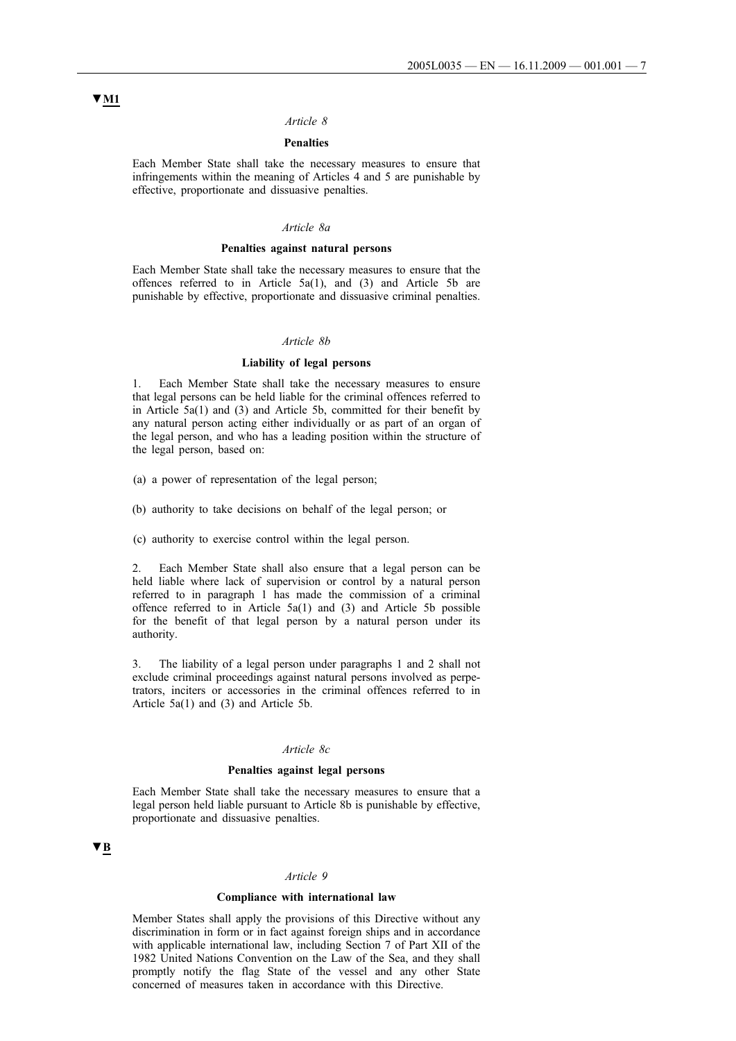## **Penalties**

Each Member State shall take the necessary measures to ensure that infringements within the meaning of Articles 4 and 5 are punishable by effective, proportionate and dissuasive penalties.

### *Article 8a*

### **Penalties against natural persons**

Each Member State shall take the necessary measures to ensure that the offences referred to in Article 5a(1), and (3) and Article 5b are punishable by effective, proportionate and dissuasive criminal penalties.

### *Article 8b*

### **Liability of legal persons**

1. Each Member State shall take the necessary measures to ensure that legal persons can be held liable for the criminal offences referred to in Article 5a(1) and (3) and Article 5b, committed for their benefit by any natural person acting either individually or as part of an organ of the legal person, and who has a leading position within the structure of the legal person, based on:

- (a) a power of representation of the legal person;
- (b) authority to take decisions on behalf of the legal person; or
- (c) authority to exercise control within the legal person.

Each Member State shall also ensure that a legal person can be held liable where lack of supervision or control by a natural person referred to in paragraph 1 has made the commission of a criminal offence referred to in Article 5a(1) and (3) and Article 5b possible for the benefit of that legal person by a natural person under its authority.

3. The liability of a legal person under paragraphs 1 and 2 shall not exclude criminal proceedings against natural persons involved as perpetrators, inciters or accessories in the criminal offences referred to in Article 5a(1) and (3) and Article 5b.

#### *Article 8c*

### **Penalties against legal persons**

Each Member State shall take the necessary measures to ensure that a legal person held liable pursuant to Article 8b is punishable by effective, proportionate and dissuasive penalties.

# **▼B**

### *Article 9*

### **Compliance with international law**

Member States shall apply the provisions of this Directive without any discrimination in form or in fact against foreign ships and in accordance with applicable international law, including Section 7 of Part XII of the 1982 United Nations Convention on the Law of the Sea, and they shall promptly notify the flag State of the vessel and any other State concerned of measures taken in accordance with this Directive.

# **▼M1**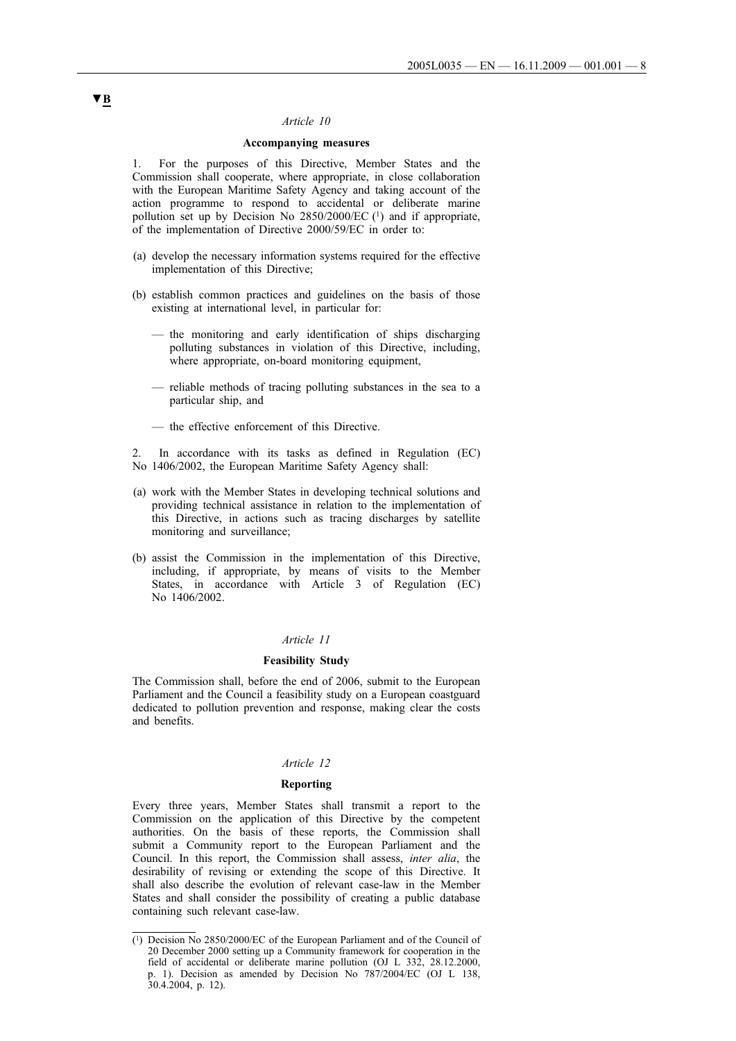## **Accompanying measures**

1. For the purposes of this Directive, Member States and the Commission shall cooperate, where appropriate, in close collaboration with the European Maritime Safety Agency and taking account of the action programme to respond to accidental or deliberate marine pollution set up by Decision No 2850/2000/EC (1) and if appropriate, of the implementation of Directive 2000/59/EC in order to:

- (a) develop the necessary information systems required for the effective implementation of this Directive;
- (b) establish common practices and guidelines on the basis of those existing at international level, in particular for:
	- the monitoring and early identification of ships discharging polluting substances in violation of this Directive, including, where appropriate, on-board monitoring equipment,
	- reliable methods of tracing polluting substances in the sea to a particular ship, and
	- the effective enforcement of this Directive.

2. In accordance with its tasks as defined in Regulation (EC) No 1406/2002, the European Maritime Safety Agency shall:

- (a) work with the Member States in developing technical solutions and providing technical assistance in relation to the implementation of this Directive, in actions such as tracing discharges by satellite monitoring and surveillance;
- (b) assist the Commission in the implementation of this Directive, including, if appropriate, by means of visits to the Member States, in accordance with Article 3 of Regulation (EC) No 1406/2002.

### *Article 11*

### **Feasibility Study**

The Commission shall, before the end of 2006, submit to the European Parliament and the Council a feasibility study on a European coastguard dedicated to pollution prevention and response, making clear the costs and benefits.

### *Article 12*

#### **Reporting**

Every three years, Member States shall transmit a report to the Commission on the application of this Directive by the competent authorities. On the basis of these reports, the Commission shall submit a Community report to the European Parliament and the Council. In this report, the Commission shall assess, *inter alia*, the desirability of revising or extending the scope of this Directive. It shall also describe the evolution of relevant case-law in the Member States and shall consider the possibility of creating a public database containing such relevant case-law.

<sup>(1)</sup> Decision No 2850/2000/EC of the European Parliament and of the Council of 20 December 2000 setting up a Community framework for cooperation in the field of accidental or deliberate marine pollution (OJ L 332, 28.12.2000, p. 1). Decision as amended by Decision No 787/2004/EC (OJ L 138, 30.4.2004, p. 12).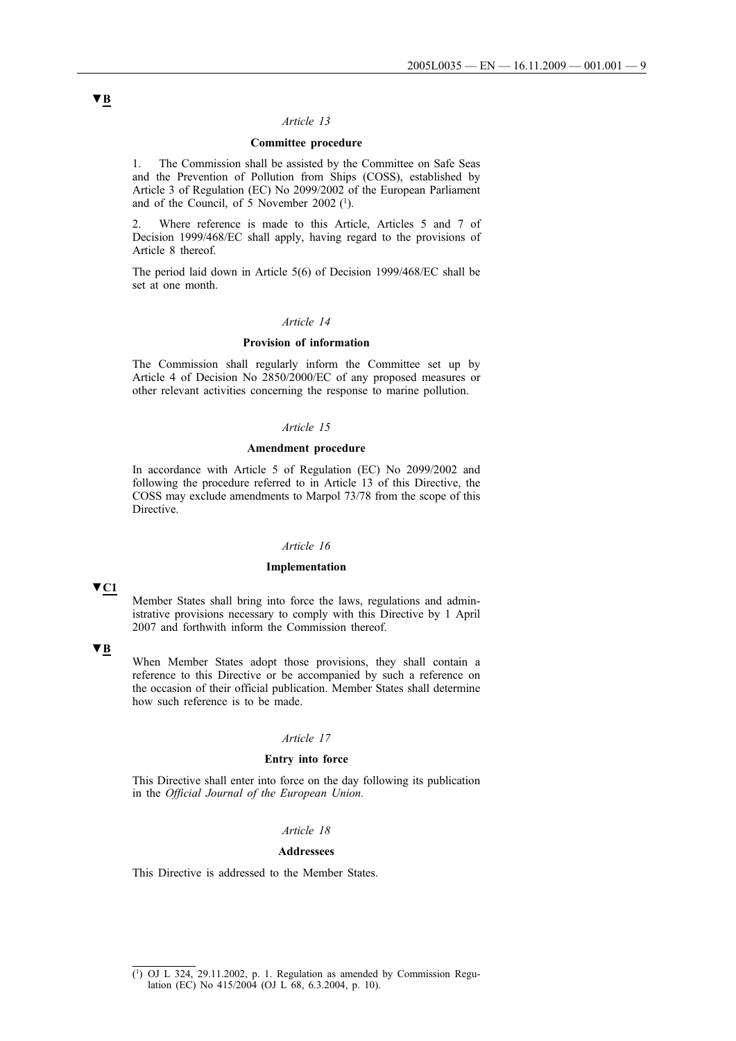## **Committee procedure**

1. The Commission shall be assisted by the Committee on Safe Seas and the Prevention of Pollution from Ships (COSS), established by Article 3 of Regulation (EC) No 2099/2002 of the European Parliament and of the Council, of 5 November 2002  $(1)$ .

2. Where reference is made to this Article, Articles 5 and 7 of Decision 1999/468/EC shall apply, having regard to the provisions of Article 8 thereof.

The period laid down in Article 5(6) of Decision 1999/468/EC shall be set at one month.

#### *Article 14*

### **Provision of information**

The Commission shall regularly inform the Committee set up by Article 4 of Decision No 2850/2000/EC of any proposed measures or other relevant activities concerning the response to marine pollution.

### *Article 15*

### **Amendment procedure**

In accordance with Article 5 of Regulation (EC) No 2099/2002 and following the procedure referred to in Article 13 of this Directive, the COSS may exclude amendments to Marpol 73/78 from the scope of this Directive.

### *Article 16*

### **Implementation**

**▼C1**

Member States shall bring into force the laws, regulations and administrative provisions necessary to comply with this Directive by 1 April 2007 and forthwith inform the Commission thereof.

### **▼B**

When Member States adopt those provisions, they shall contain a reference to this Directive or be accompanied by such a reference on the occasion of their official publication. Member States shall determine how such reference is to be made.

### *Article 17*

### **Entry into force**

This Directive shall enter into force on the day following its publication in the *Official Journal of the European Union.*

### *Article 18*

### **Addressees**

This Directive is addressed to the Member States.

<sup>(1)</sup> OJ L 324, 29.11.2002, p. 1. Regulation as amended by Commission Regulation (EC) No 415/2004 (OJ L 68, 6.3.2004, p. 10).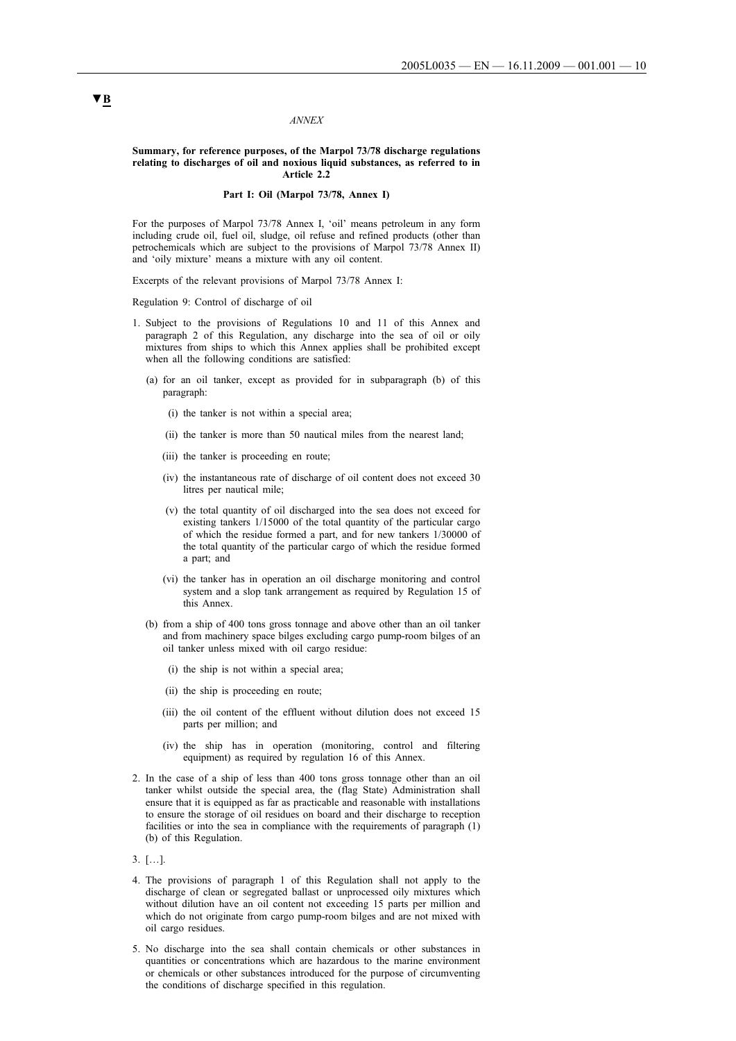#### *ANNEX*

#### **Summary, for reference purposes, of the Marpol 73/78 discharge regulations relating to discharges of oil and noxious liquid substances, as referred to in Article 2.2**

#### **Part I: Oil (Marpol 73/78, Annex I)**

For the purposes of Marpol 73/78 Annex I, 'oil' means petroleum in any form including crude oil, fuel oil, sludge, oil refuse and refined products (other than petrochemicals which are subject to the provisions of Marpol 73/78 Annex II) and 'oily mixture' means a mixture with any oil content.

Excerpts of the relevant provisions of Marpol 73/78 Annex I:

Regulation 9: Control of discharge of oil

- 1. Subject to the provisions of Regulations 10 and 11 of this Annex and paragraph 2 of this Regulation, any discharge into the sea of oil or oily mixtures from ships to which this Annex applies shall be prohibited except when all the following conditions are satisfied:
	- (a) for an oil tanker, except as provided for in subparagraph (b) of this paragraph:
		- (i) the tanker is not within a special area;
		- (ii) the tanker is more than 50 nautical miles from the nearest land;
		- (iii) the tanker is proceeding en route;
		- (iv) the instantaneous rate of discharge of oil content does not exceed 30 litres per nautical mile;
		- (v) the total quantity of oil discharged into the sea does not exceed for existing tankers 1/15000 of the total quantity of the particular cargo of which the residue formed a part, and for new tankers 1/30000 of the total quantity of the particular cargo of which the residue formed a part; and
		- (vi) the tanker has in operation an oil discharge monitoring and control system and a slop tank arrangement as required by Regulation 15 of this Annex.
	- (b) from a ship of 400 tons gross tonnage and above other than an oil tanker and from machinery space bilges excluding cargo pump-room bilges of an oil tanker unless mixed with oil cargo residue:
		- (i) the ship is not within a special area;
		- (ii) the ship is proceeding en route;
		- (iii) the oil content of the effluent without dilution does not exceed 15 parts per million; and
		- (iv) the ship has in operation (monitoring, control and filtering equipment) as required by regulation 16 of this Annex.
- 2. In the case of a ship of less than 400 tons gross tonnage other than an oil tanker whilst outside the special area, the (flag State) Administration shall ensure that it is equipped as far as practicable and reasonable with installations to ensure the storage of oil residues on board and their discharge to reception facilities or into the sea in compliance with the requirements of paragraph (1) (b) of this Regulation.
- 3. […].
- 4. The provisions of paragraph 1 of this Regulation shall not apply to the discharge of clean or segregated ballast or unprocessed oily mixtures which without dilution have an oil content not exceeding 15 parts per million and which do not originate from cargo pump-room bilges and are not mixed with oil cargo residues.
- 5. No discharge into the sea shall contain chemicals or other substances in quantities or concentrations which are hazardous to the marine environment or chemicals or other substances introduced for the purpose of circumventing the conditions of discharge specified in this regulation.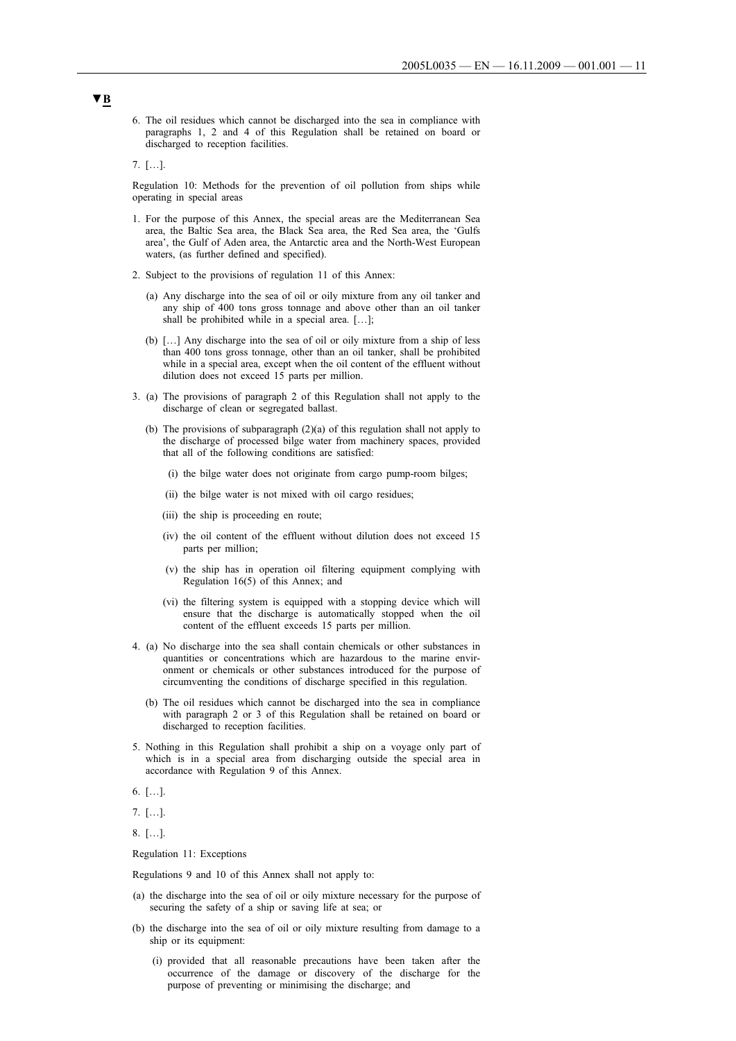6. The oil residues which cannot be discharged into the sea in compliance with paragraphs 1, 2 and 4 of this Regulation shall be retained on board or discharged to reception facilities.

7. […].

Regulation 10: Methods for the prevention of oil pollution from ships while operating in special areas

- 1. For the purpose of this Annex, the special areas are the Mediterranean Sea area, the Baltic Sea area, the Black Sea area, the Red Sea area, the 'Gulfs area', the Gulf of Aden area, the Antarctic area and the North-West European waters, (as further defined and specified).
- 2. Subject to the provisions of regulation 11 of this Annex:
	- (a) Any discharge into the sea of oil or oily mixture from any oil tanker and any ship of 400 tons gross tonnage and above other than an oil tanker shall be prohibited while in a special area. […];
	- (b) […] Any discharge into the sea of oil or oily mixture from a ship of less than 400 tons gross tonnage, other than an oil tanker, shall be prohibited while in a special area, except when the oil content of the effluent without dilution does not exceed 15 parts per million.
- 3. (a) The provisions of paragraph 2 of this Regulation shall not apply to the discharge of clean or segregated ballast.
	- (b) The provisions of subparagraph (2)(a) of this regulation shall not apply to the discharge of processed bilge water from machinery spaces, provided that all of the following conditions are satisfied:
		- (i) the bilge water does not originate from cargo pump-room bilges;
		- (ii) the bilge water is not mixed with oil cargo residues;
		- (iii) the ship is proceeding en route;
		- (iv) the oil content of the effluent without dilution does not exceed 15 parts per million;
		- (v) the ship has in operation oil filtering equipment complying with Regulation 16(5) of this Annex; and
		- (vi) the filtering system is equipped with a stopping device which will ensure that the discharge is automatically stopped when the oil content of the effluent exceeds 15 parts per million.
- 4. (a) No discharge into the sea shall contain chemicals or other substances in quantities or concentrations which are hazardous to the marine environment or chemicals or other substances introduced for the purpose of circumventing the conditions of discharge specified in this regulation.
	- (b) The oil residues which cannot be discharged into the sea in compliance with paragraph 2 or 3 of this Regulation shall be retained on board or discharged to reception facilities.
- 5. Nothing in this Regulation shall prohibit a ship on a voyage only part of which is in a special area from discharging outside the special area in accordance with Regulation 9 of this Annex.

6. […].

7. […].

8. […].

Regulation 11: Exceptions

Regulations 9 and 10 of this Annex shall not apply to:

- (a) the discharge into the sea of oil or oily mixture necessary for the purpose of securing the safety of a ship or saving life at sea; or
- (b) the discharge into the sea of oil or oily mixture resulting from damage to a ship or its equipment:
	- (i) provided that all reasonable precautions have been taken after the occurrence of the damage or discovery of the discharge for the purpose of preventing or minimising the discharge; and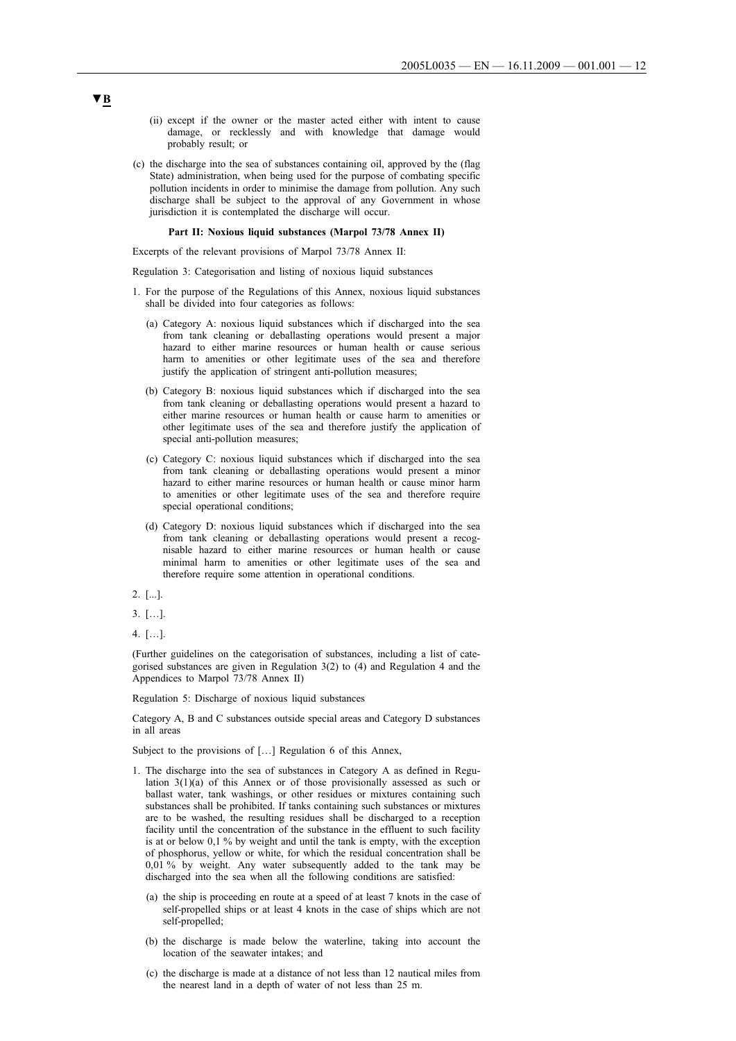- (ii) except if the owner or the master acted either with intent to cause damage, or recklessly and with knowledge that damage would probably result; or
- (c) the discharge into the sea of substances containing oil, approved by the (flag State) administration, when being used for the purpose of combating specific pollution incidents in order to minimise the damage from pollution. Any such discharge shall be subject to the approval of any Government in whose jurisdiction it is contemplated the discharge will occur.

#### **Part II: Noxious liquid substances (Marpol 73/78 Annex II)**

Excerpts of the relevant provisions of Marpol 73/78 Annex II:

Regulation 3: Categorisation and listing of noxious liquid substances

- 1. For the purpose of the Regulations of this Annex, noxious liquid substances shall be divided into four categories as follows:
	- (a) Category A: noxious liquid substances which if discharged into the sea from tank cleaning or deballasting operations would present a major hazard to either marine resources or human health or cause serious harm to amenities or other legitimate uses of the sea and therefore justify the application of stringent anti-pollution measures;
	- (b) Category B: noxious liquid substances which if discharged into the sea from tank cleaning or deballasting operations would present a hazard to either marine resources or human health or cause harm to amenities or other legitimate uses of the sea and therefore justify the application of special anti-pollution measures;
	- (c) Category C: noxious liquid substances which if discharged into the sea from tank cleaning or deballasting operations would present a minor hazard to either marine resources or human health or cause minor harm to amenities or other legitimate uses of the sea and therefore require special operational conditions;
	- (d) Category D: noxious liquid substances which if discharged into the sea from tank cleaning or deballasting operations would present a recognisable hazard to either marine resources or human health or cause minimal harm to amenities or other legitimate uses of the sea and therefore require some attention in operational conditions.
- 2. [...].
- 3. […].
- 4. […].

(Further guidelines on the categorisation of substances, including a list of categorised substances are given in Regulation 3(2) to (4) and Regulation 4 and the Appendices to Marpol 73/78 Annex II)

Regulation 5: Discharge of noxious liquid substances

Category A, B and C substances outside special areas and Category D substances in all areas

Subject to the provisions of [...] Regulation 6 of this Annex,

- 1. The discharge into the sea of substances in Category A as defined in Regulation 3(1)(a) of this Annex or of those provisionally assessed as such or ballast water, tank washings, or other residues or mixtures containing such substances shall be prohibited. If tanks containing such substances or mixtures are to be washed, the resulting residues shall be discharged to a reception facility until the concentration of the substance in the effluent to such facility is at or below 0,1 % by weight and until the tank is empty, with the exception of phosphorus, yellow or white, for which the residual concentration shall be 0,01 % by weight. Any water subsequently added to the tank may be discharged into the sea when all the following conditions are satisfied:
	- (a) the ship is proceeding en route at a speed of at least 7 knots in the case of self-propelled ships or at least 4 knots in the case of ships which are not self-propelled;
	- (b) the discharge is made below the waterline, taking into account the location of the seawater intakes; and
	- (c) the discharge is made at a distance of not less than 12 nautical miles from the nearest land in a depth of water of not less than 25 m.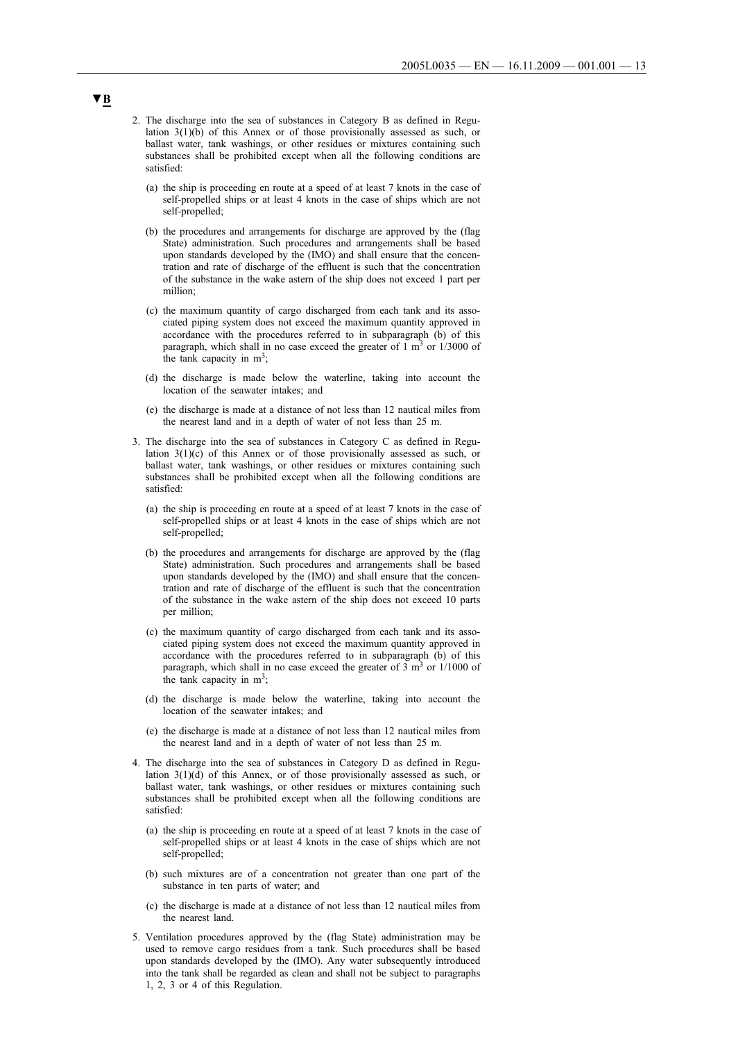- 2. The discharge into the sea of substances in Category B as defined in Regulation 3(1)(b) of this Annex or of those provisionally assessed as such, or ballast water, tank washings, or other residues or mixtures containing such substances shall be prohibited except when all the following conditions are satisfied:
	- (a) the ship is proceeding en route at a speed of at least 7 knots in the case of self-propelled ships or at least 4 knots in the case of ships which are not self-propelled;
	- (b) the procedures and arrangements for discharge are approved by the (flag State) administration. Such procedures and arrangements shall be based upon standards developed by the (IMO) and shall ensure that the concentration and rate of discharge of the effluent is such that the concentration of the substance in the wake astern of the ship does not exceed 1 part per million;
	- (c) the maximum quantity of cargo discharged from each tank and its associated piping system does not exceed the maximum quantity approved in accordance with the procedures referred to in subparagraph (b) of this paragraph, which shall in no case exceed the greater of  $1 \text{ m}^3$  or  $1/3000$  of the tank capacity in m<sup>3</sup>;
	- (d) the discharge is made below the waterline, taking into account the location of the seawater intakes; and
	- (e) the discharge is made at a distance of not less than 12 nautical miles from the nearest land and in a depth of water of not less than 25 m.
- 3. The discharge into the sea of substances in Category C as defined in Regulation  $3(1)(c)$  of this Annex or of those provisionally assessed as such, or ballast water, tank washings, or other residues or mixtures containing such substances shall be prohibited except when all the following conditions are satisfied:
	- (a) the ship is proceeding en route at a speed of at least 7 knots in the case of self-propelled ships or at least 4 knots in the case of ships which are not self-propelled;
	- (b) the procedures and arrangements for discharge are approved by the (flag State) administration. Such procedures and arrangements shall be based upon standards developed by the (IMO) and shall ensure that the concentration and rate of discharge of the effluent is such that the concentration of the substance in the wake astern of the ship does not exceed 10 parts per million;
	- (c) the maximum quantity of cargo discharged from each tank and its associated piping system does not exceed the maximum quantity approved in accordance with the procedures referred to in subparagraph (b) of this paragraph, which shall in no case exceed the greater of  $3 \text{ m}^3$  or  $1/1000$  of the tank capacity in  $m^3$ ;
	- (d) the discharge is made below the waterline, taking into account the location of the seawater intakes; and
	- (e) the discharge is made at a distance of not less than 12 nautical miles from the nearest land and in a depth of water of not less than 25 m.
- 4. The discharge into the sea of substances in Category D as defined in Regulation 3(1)(d) of this Annex, or of those provisionally assessed as such, or ballast water, tank washings, or other residues or mixtures containing such substances shall be prohibited except when all the following conditions are satisfied:
	- (a) the ship is proceeding en route at a speed of at least 7 knots in the case of self-propelled ships or at least 4 knots in the case of ships which are not self-propelled;
	- (b) such mixtures are of a concentration not greater than one part of the substance in ten parts of water; and
	- (c) the discharge is made at a distance of not less than 12 nautical miles from the nearest land.
- 5. Ventilation procedures approved by the (flag State) administration may be used to remove cargo residues from a tank. Such procedures shall be based upon standards developed by the (IMO). Any water subsequently introduced into the tank shall be regarded as clean and shall not be subject to paragraphs 1, 2, 3 or 4 of this Regulation.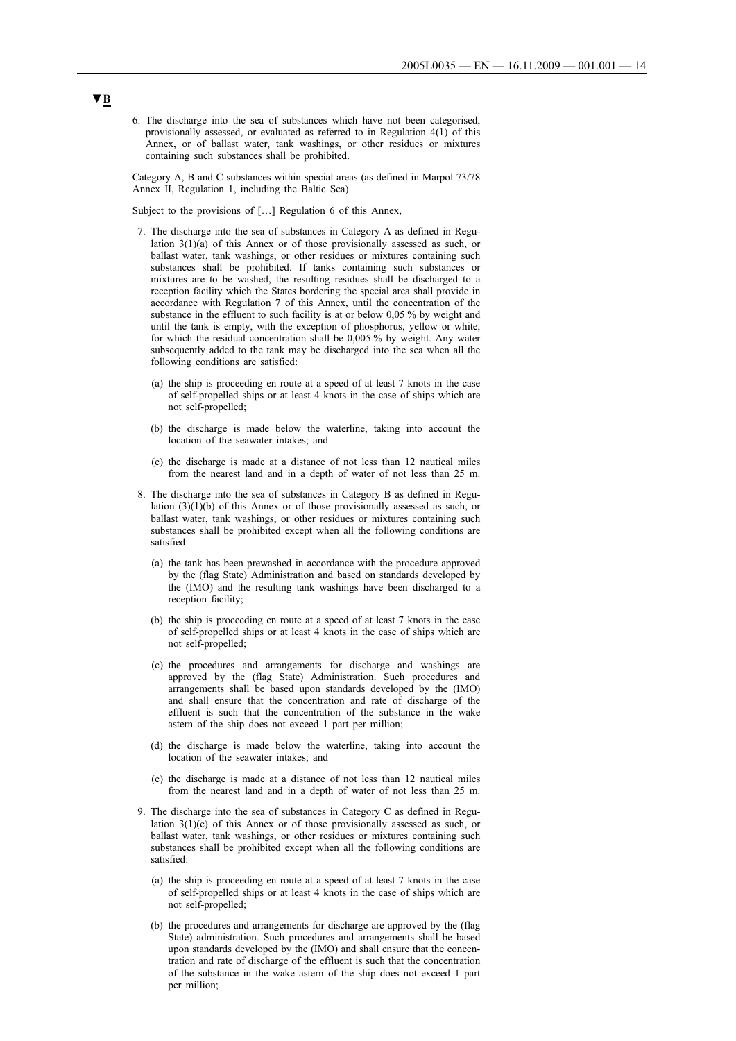6. The discharge into the sea of substances which have not been categorised, provisionally assessed, or evaluated as referred to in Regulation 4(1) of this Annex, or of ballast water, tank washings, or other residues or mixtures containing such substances shall be prohibited.

Category A, B and C substances within special areas (as defined in Marpol 73/78 Annex II, Regulation 1, including the Baltic Sea)

Subject to the provisions of [...] Regulation 6 of this Annex,

- 7. The discharge into the sea of substances in Category A as defined in Regulation 3(1)(a) of this Annex or of those provisionally assessed as such, or ballast water, tank washings, or other residues or mixtures containing such substances shall be prohibited. If tanks containing such substances or mixtures are to be washed, the resulting residues shall be discharged to a reception facility which the States bordering the special area shall provide in accordance with Regulation 7 of this Annex, until the concentration of the substance in the effluent to such facility is at or below 0,05 % by weight and until the tank is empty, with the exception of phosphorus, yellow or white, for which the residual concentration shall be 0,005 % by weight. Any water subsequently added to the tank may be discharged into the sea when all the following conditions are satisfied:
	- (a) the ship is proceeding en route at a speed of at least 7 knots in the case of self-propelled ships or at least 4 knots in the case of ships which are not self-propelled;
	- (b) the discharge is made below the waterline, taking into account the location of the seawater intakes; and
	- (c) the discharge is made at a distance of not less than 12 nautical miles from the nearest land and in a depth of water of not less than 25 m.
- 8. The discharge into the sea of substances in Category B as defined in Regulation  $(3)(1)(b)$  of this Annex or of those provisionally assessed as such, or ballast water, tank washings, or other residues or mixtures containing such substances shall be prohibited except when all the following conditions are satisfied:
	- (a) the tank has been prewashed in accordance with the procedure approved by the (flag State) Administration and based on standards developed by the (IMO) and the resulting tank washings have been discharged to a reception facility;
	- (b) the ship is proceeding en route at a speed of at least 7 knots in the case of self-propelled ships or at least 4 knots in the case of ships which are not self-propelled;
	- (c) the procedures and arrangements for discharge and washings are approved by the (flag State) Administration. Such procedures and arrangements shall be based upon standards developed by the (IMO) and shall ensure that the concentration and rate of discharge of the effluent is such that the concentration of the substance in the wake astern of the ship does not exceed 1 part per million;
	- (d) the discharge is made below the waterline, taking into account the location of the seawater intakes; and
	- (e) the discharge is made at a distance of not less than 12 nautical miles from the nearest land and in a depth of water of not less than 25 m.
- 9. The discharge into the sea of substances in Category C as defined in Regulation 3(1)(c) of this Annex or of those provisionally assessed as such, or ballast water, tank washings, or other residues or mixtures containing such substances shall be prohibited except when all the following conditions are satisfied:
	- (a) the ship is proceeding en route at a speed of at least 7 knots in the case of self-propelled ships or at least 4 knots in the case of ships which are not self-propelled;
	- (b) the procedures and arrangements for discharge are approved by the (flag State) administration. Such procedures and arrangements shall be based upon standards developed by the (IMO) and shall ensure that the concentration and rate of discharge of the effluent is such that the concentration of the substance in the wake astern of the ship does not exceed 1 part per million;